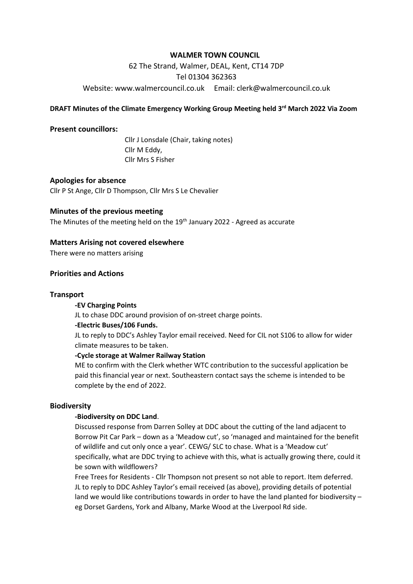# **WALMER TOWN COUNCIL**

62 The Strand, Walmer, DEAL, Kent, CT14 7DP Tel 01304 362363 Website: [www.walmercouncil.co.uk](http://www.walmercouncil.co.uk/) Email: clerk@walmercouncil.co.uk

## **DRAFT Minutes of the Climate Emergency Working Group Meeting held 3 rd March 2022 Via Zoom**

### **Present councillors:**

Cllr J Lonsdale (Chair, taking notes) Cllr M Eddy, Cllr Mrs S Fisher

## **Apologies for absence**

Cllr P St Ange, Cllr D Thompson, Cllr Mrs S Le Chevalier

## **Minutes of the previous meeting**

The Minutes of the meeting held on the 19<sup>th</sup> January 2022 - Agreed as accurate

# **Matters Arising not covered elsewhere**

There were no matters arising

## **Priorities and Actions**

#### **Transport**

#### **-EV Charging Points**

JL to chase DDC around provision of on-street charge points.

#### **-Electric Buses/106 Funds.**

JL to reply to DDC's Ashley Taylor email received. Need for CIL not S106 to allow for wider climate measures to be taken.

### **-Cycle storage at Walmer Railway Station**

ME to confirm with the Clerk whether WTC contribution to the successful application be paid this financial year or next. Southeastern contact says the scheme is intended to be complete by the end of 2022.

### **Biodiversity**

## **-Biodiversity on DDC Land**.

Discussed response from Darren Solley at DDC about the cutting of the land adjacent to Borrow Pit Car Park – down as a 'Meadow cut', so 'managed and maintained for the benefit of wildlife and cut only once a year'. CEWG/ SLC to chase. What is a 'Meadow cut' specifically, what are DDC trying to achieve with this, what is actually growing there, could it be sown with wildflowers?

Free Trees for Residents - Cllr Thompson not present so not able to report. Item deferred. JL to reply to DDC Ashley Taylor's email received (as above), providing details of potential land we would like contributions towards in order to have the land planted for biodiversity – eg Dorset Gardens, York and Albany, Marke Wood at the Liverpool Rd side.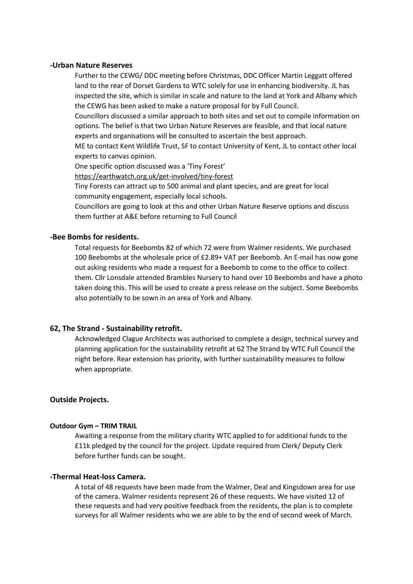#### **-Urban Nature Reserves**

Further to the CEWG/ DDC meeting before Christmas, DDC Officer Martin Leggatt offered land to the rear of Dorset Gardens to WTC solely for use in enhancing biodiversity. JL has inspected the site, which is similar in scale and nature to the land at York and Albany which the CEWG has been asked to make a nature proposal for by Full Council.

Councillors discussed a similar approach to both sites and set out to compile information on options. The belief is that two Urban Nature Reserves are feasible, and that local nature experts and organisations will be consulted to ascertain the best approach.

ME to contact Kent Wildlife Trust, SF to contact University of Kent, JL to contact other local experts to canvas opinion.

One specific option discussed was a 'Tiny Forest'

<https://earthwatch.org.uk/get-involved/tiny-forest>

Tiny Forests can attract up to 500 animal and plant species, and are great for local community engagement, especially local schools.

Councillors are going to look at this and other Urban Nature Reserve options and discuss them further at A&E before returning to Full Council

#### **-Bee Bombs for residents.**

Total requests for Beebombs 82 of which 72 were from Walmer residents. We purchased 100 Beebombs at the wholesale price of £2.89+ VAT per Beebomb. An E-mail has now gone out asking residents who made a request for a Beebomb to come to the office to collect them. Cllr Lonsdale attended Brambles Nursery to hand over 10 Beebombs and have a photo taken doing this. This will be used to create a press release on the subject. Some Beebombs also potentially to be sown in an area of York and Albany.

## **62, The Strand - Sustainability retrofit.**

Acknowledged Clague Architects was authorised to complete a design, technical survey and planning application for the sustainability retrofit at 62 The Strand by WTC Full Council the night before. Rear extension has priority, with further sustainability measures to follow when appropriate.

## **Outside Projects.**

#### **Outdoor Gym – TRIM TRAIL**

Awaiting a response from the military charity WTC applied to for additional funds to the £11k pledged by the council for the project. Update required from Clerk/ Deputy Clerk before further funds can be sought.

### **-Thermal Heat-loss Camera.**

A total of 48 requests have been made from the Walmer, Deal and Kingsdown area for use of the camera. Walmer residents represent 26 of these requests. We have visited 12 of these requests and had very positive feedback from the residents, the plan is to complete surveys for all Walmer residents who we are able to by the end of second week of March.